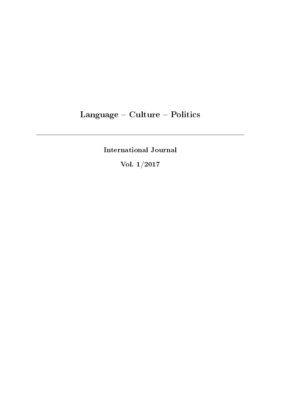# Language - Culture - Politics

International Journal

Vol. 1/2017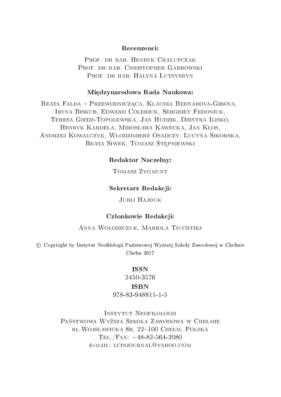#### Recenzenci:

PROF. DR HAB. HENRYK CHALUPCZAK PROF. DR HAB. CHRISTOPHER GARBOWSKI PROF. DR HAB. HALYNA LUTSYSHYN

#### Miedzynarodowa Rada Naukowa:

BEATA FAŁDA - PRZEWODNICZĄCA, KLAUDIA BEDNAROVA-GIBOVA, Iryna Biskub, Edward Colerick, Serghiey Fedoniuk, Teresa Giedz-Topolewska, Jan Hudzik, Dzintra Ilisko, HENRYK KARDELA, MIROSŁAWA KAWECKA, JAN KŁOS, Andrzej Kowalczyk, Wªodzimierz Osadczy, Lucyna Sikorska, BEATA SIWEK, TOMASZ STEPNIEWSKI

# Redaktor Naczelny:

# Tomasz Zygmunt

#### Sekretarz Redakcji:

# Jurij Hajduk

#### Członkowie Redakcji:

#### ANNA WOŁOSZCZUK, MARIOLA TIUCHTIEJ

c Copyright by Instytut Neofilologii Państwowej Wyższej Szkoły Zawodowej w Chełmie  $Chekm 2017$ 

# ISSN

2450-3576

# ISBN

978-83-948811-1-5

Instytut Neofilologii PAŃSTWOWA WYŻSZA SZKOŁA ZAWODOWA W CHEŁMIE rl.Wojsławicka 8b, 22-100 Chełm, Polska Tel./Fax: +48-82-564-2080 e-mail: lcpijournal@yahoo.com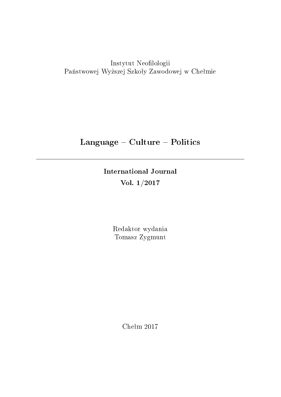Instytut Neofilologii Państwowej Wyższej Szkoły Zawodowej w Chełmie

# Language - Culture - Politics

International Journal Vol. 1/2017

> Redaktor wydania Tomasz Zygmunt

> > Chełm  $2017$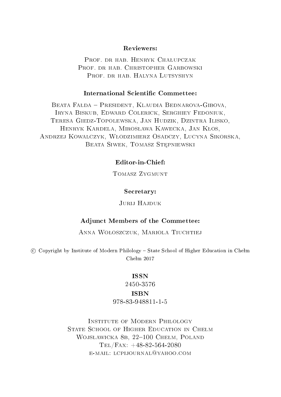#### Reviewers:

PROF. DR HAB. HENRYK CHALUPCZAK PROF. DR HAB. CHRISTOPHER GARBOWSKI PROF. DR HAB. HALYNA LUTSYSHYN

#### International Scientific Commettee:

BEATA FAŁDA - PRESIDENT, KLAUDIA BEDNAROVA-GIBOVA, Iryna Biskub, Edward Colerick, Serghiey Fedoniuk, Teresa Giedz-Topolewska, Jan Hudzik, Dzintra Ilisko, HENRYK KARDELA, MIROSŁAWA KAWECKA, JAN KŁOS, Andrzej Kowalczyk, Wªodzimierz Osadczy, Lucyna Sikorska, BEATA SIWEK, TOMASZ STEPNIEWSKI

# Editor-in-Chief:

Tomasz Zygmunt

#### Secretary:

# Jurli Hajduk

#### Adjunct Members of the Commettee:

## ANNA WOŁOSZCZUK, MARIOLA TIUCHTIEJ

 $\degree$  Copyright by Institute of Modern Philology – State School of Higher Education in Chełm  $Chekm 2017$ 

# ISSN

2450-3576

# ISBN

# 978-83-948811-1-5

Institute of Modern Philology STATE SCHOOL OF HIGHER EDUCATION IN CHEŁM WOJSŁAWICKA 8B, 22-100 CHEŁM, POLAND  $TEL/FAX: +48-82-564-2080$ e-mail: lcpijournal@yahoo.com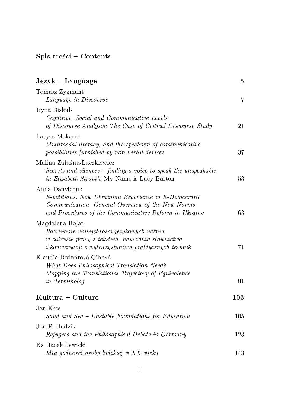# $Spis treści - Contents$

| $Jqzyk - Language$                                                                                                                                                                          | 5   |
|---------------------------------------------------------------------------------------------------------------------------------------------------------------------------------------------|-----|
| Tomasz Zygmunt<br>Language in Discourse                                                                                                                                                     | 7   |
| Iryna Biskub                                                                                                                                                                                |     |
| Cognitive, Social and Communicative Levels<br>of Discourse Analysis: The Case of Critical Discourse Study                                                                                   | 21  |
| Larysa Makaruk<br>Multimodal literacy, and the spectrum of communicative<br>possibilities furnished by non-verbal devices                                                                   | 37  |
| Malina Załużna-Łuczkiewicz<br>Secrets and silences - finding a voice to speak the unspeakable<br><i>in Elizabeth Strout's</i> My Name is Lucy Barton                                        | 53  |
| Anna Danylchuk<br><i>E-petitions:</i> New Ukrainian Experience in E-Democratic<br>Communication. General Overview of the New Norms<br>and Procedures of the Communicative Reform in Ukraine | 63  |
| Magdalena Bojar<br>Rozwijanie umiejętności językowych ucznia<br>w zakresie pracy z tekstem, nauczania słownictwa<br><i>i konwersacji z wykorzystaniem praktycznych technik</i>              | 71  |
| Klaudia Bednárová-Gibová<br>What Does Philosophical Translation Need?<br>Mapping the Translational Trajectory of Equivalence<br>in Terminolog                                               | 91  |
| Kultura - Culture                                                                                                                                                                           | 103 |
| Jan Kłos<br>Sand and Sea - Unstable Foundations for Education                                                                                                                               | 105 |
| Jan P. Hudzik<br>Refugees and the Philosophical Debate in Germany                                                                                                                           | 123 |
| Ks. Jacek Lewicki<br>Idea godności osoby ludzkiej w XX wieku                                                                                                                                | 143 |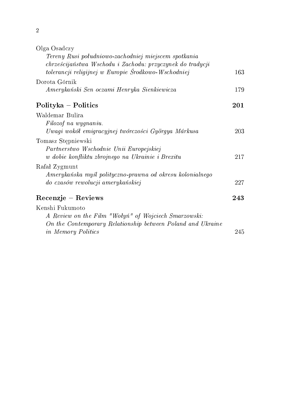2

| Olga Osadczy                                                |     |
|-------------------------------------------------------------|-----|
| Tereny Rusi południowo-zachodniej miejscem spotkania        |     |
| chrześcijaństwa Wschodu i Zachodu: przyczynek do tradycji   |     |
| tolerancji religijnej w Europie Środkowo-Wschodniej         | 163 |
| Dorota Górnik                                               |     |
| Amerykański Sen oczami Henryka Sienkiewicza                 | 179 |
| Polityka – Politics                                         | 201 |
| Waldemar Bulira                                             |     |
| Filozof na wygnaniu.                                        |     |
| Uwagi wokół emigracyjnej twórczości Györgya Márkusa         | 203 |
| Tomasz Stępniewski                                          |     |
| Partnerstwo Wschodnie Unii Europejskiej                     |     |
| w dobie konfliktu zbrojnego na Ukrainie i Brexitu           | 217 |
| Rafał Zygmunt                                               |     |
| Amerykańska myśl polityczno-prawna od okresu kolonialnego   |     |
| do czasów rewolucji amerykańskiej                           | 227 |
| Recenzje – Reviews                                          | 243 |
| Kenshi Fukumoto                                             |     |
| A Review on the Film "Wołyń" of Wojciech Smarzowski:        |     |
| On the Contemporary Relationship between Poland and Ukraine |     |
| in Memory Politics                                          | 245 |